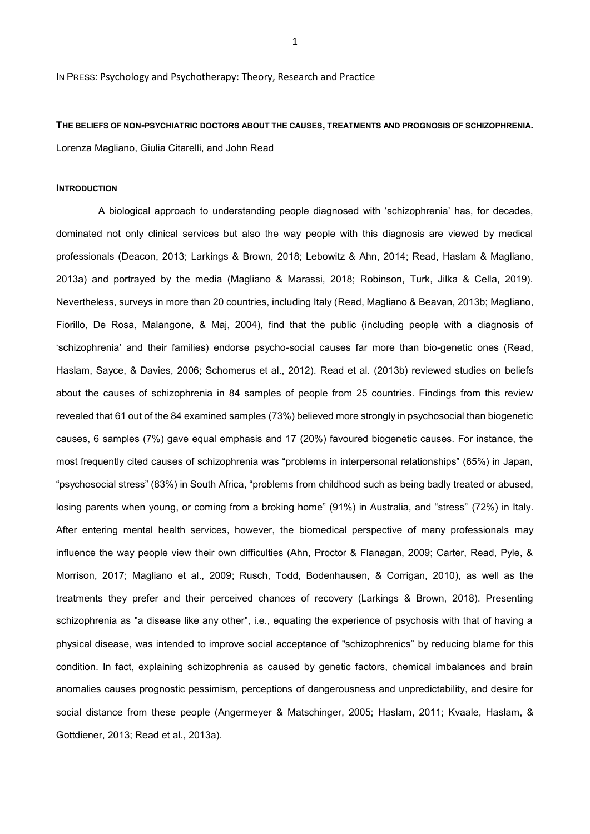IN PRESS: Psychology and Psychotherapy: Theory, Research and Practice

**THE BELIEFS OF NON-PSYCHIATRIC DOCTORS ABOUT THE CAUSES, TREATMENTS AND PROGNOSIS OF SCHIZOPHRENIA.** Lorenza Magliano, Giulia Citarelli, and John Read

#### **INTRODUCTION**

A biological approach to understanding people diagnosed with 'schizophrenia' has, for decades, dominated not only clinical services but also the way people with this diagnosis are viewed by medical professionals (Deacon, 2013; Larkings & Brown, 2018; Lebowitz & Ahn, 2014; Read, Haslam & Magliano, 2013a) and portrayed by the media (Magliano & Marassi, 2018; Robinson, Turk, Jilka & Cella, 2019). Nevertheless, surveys in more than 20 countries, including Italy (Read, Magliano & Beavan, 2013b; Magliano, Fiorillo, De Rosa, Malangone, & Maj, 2004), find that the public (including people with a diagnosis of 'schizophrenia' and their families) endorse psycho-social causes far more than bio-genetic ones (Read, Haslam, Sayce, & Davies, 2006; Schomerus et al., 2012). Read et al. (2013b) reviewed studies on beliefs about the causes of schizophrenia in 84 samples of people from 25 countries. Findings from this review revealed that 61 out of the 84 examined samples (73%) believed more strongly in psychosocial than biogenetic causes, 6 samples (7%) gave equal emphasis and 17 (20%) favoured biogenetic causes. For instance, the most frequently cited causes of schizophrenia was "problems in interpersonal relationships" (65%) in Japan, "psychosocial stress" (83%) in South Africa, "problems from childhood such as being badly treated or abused, losing parents when young, or coming from a broking home" (91%) in Australia, and "stress" (72%) in Italy. After entering mental health services, however, the biomedical perspective of many professionals may influence the way people view their own difficulties (Ahn, Proctor & Flanagan, 2009; Carter, Read, Pyle, & Morrison, 2017; Magliano et al., 2009; Rusch, Todd, Bodenhausen, & Corrigan, 2010), as well as the treatments they prefer and their perceived chances of recovery (Larkings & Brown, 2018). Presenting schizophrenia as "a disease like any other", i.e., equating the experience of psychosis with that of having a physical disease, was intended to improve social acceptance of "schizophrenics" by reducing blame for this condition. In fact, explaining schizophrenia as caused by genetic factors, chemical imbalances and brain anomalies causes prognostic pessimism, perceptions of dangerousness and unpredictability, and desire for social distance from these people (Angermeyer & Matschinger, 2005; Haslam, 2011; Kvaale, Haslam, & Gottdiener, 2013; Read et al., 2013a).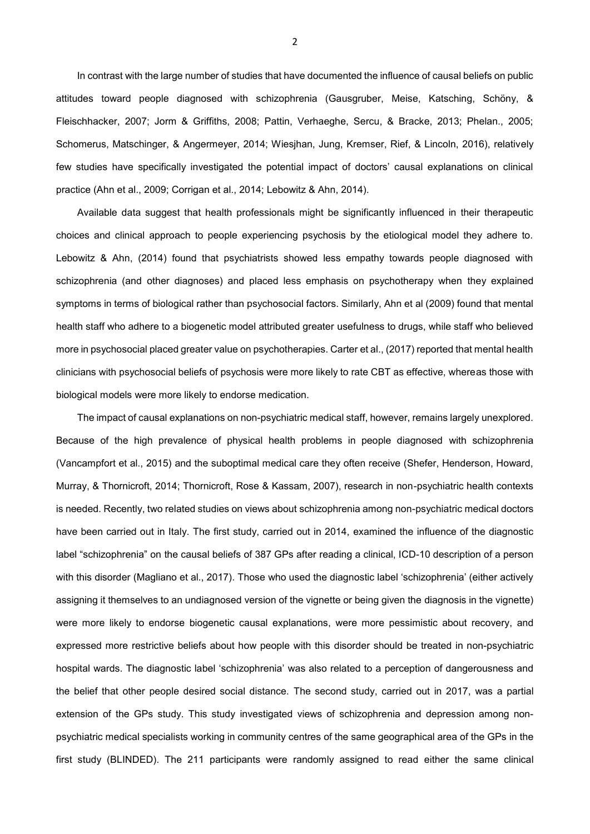In contrast with the large number of studies that have documented the influence of causal beliefs on public attitudes toward people diagnosed with schizophrenia (Gausgruber, Meise, Katsching, Schöny, & Fleischhacker, 2007; Jorm & Griffiths, 2008; Pattin, Verhaeghe, Sercu, & Bracke, 2013; Phelan., 2005; Schomerus, Matschinger, & Angermeyer, 2014; Wiesjhan, Jung, Kremser, Rief, & Lincoln, 2016), relatively few studies have specifically investigated the potential impact of doctors' causal explanations on clinical practice (Ahn et al., 2009; Corrigan et al., 2014; Lebowitz & Ahn, 2014).

Available data suggest that health professionals might be significantly influenced in their therapeutic choices and clinical approach to people experiencing psychosis by the etiological model they adhere to. Lebowitz & Ahn, (2014) found that psychiatrists showed less empathy towards people diagnosed with schizophrenia (and other diagnoses) and placed less emphasis on psychotherapy when they explained symptoms in terms of biological rather than psychosocial factors. Similarly, Ahn et al (2009) found that mental health staff who adhere to a biogenetic model attributed greater usefulness to drugs, while staff who believed more in psychosocial placed greater value on psychotherapies. Carter et al., (2017) reported that mental health clinicians with psychosocial beliefs of psychosis were more likely to rate CBT as effective, whereas those with biological models were more likely to endorse medication.

The impact of causal explanations on non-psychiatric medical staff, however, remains largely unexplored. Because of the high prevalence of physical health problems in people diagnosed with schizophrenia (Vancampfort et al., 2015) and the suboptimal medical care they often receive (Shefer, Henderson, Howard, Murray, & Thornicroft, 2014; Thornicroft, Rose & Kassam, 2007), research in non-psychiatric health contexts is needed. Recently, two related studies on views about schizophrenia among non-psychiatric medical doctors have been carried out in Italy. The first study, carried out in 2014, examined the influence of the diagnostic label "schizophrenia" on the causal beliefs of 387 GPs after reading a clinical, ICD-10 description of a person with this disorder (Magliano et al., 2017). Those who used the diagnostic label 'schizophrenia' (either actively assigning it themselves to an undiagnosed version of the vignette or being given the diagnosis in the vignette) were more likely to endorse biogenetic causal explanations, were more pessimistic about recovery, and expressed more restrictive beliefs about how people with this disorder should be treated in non-psychiatric hospital wards. The diagnostic label 'schizophrenia' was also related to a perception of dangerousness and the belief that other people desired social distance. The second study, carried out in 2017, was a partial extension of the GPs study. This study investigated views of schizophrenia and depression among nonpsychiatric medical specialists working in community centres of the same geographical area of the GPs in the first study (BLINDED). The 211 participants were randomly assigned to read either the same clinical

2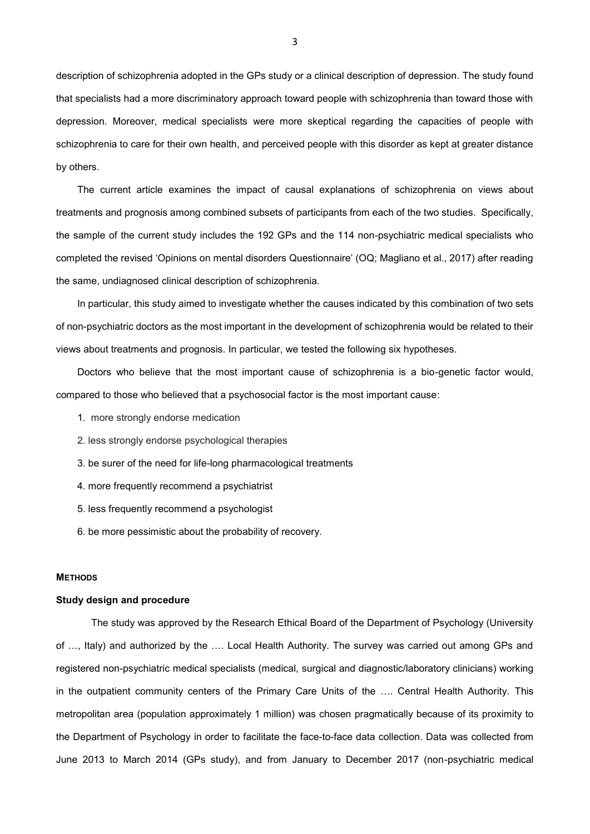description of schizophrenia adopted in the GPs study or a clinical description of depression. The study found that specialists had a more discriminatory approach toward people with schizophrenia than toward those with depression. Moreover, medical specialists were more skeptical regarding the capacities of people with schizophrenia to care for their own health, and perceived people with this disorder as kept at greater distance by others.

The current article examines the impact of causal explanations of schizophrenia on views about treatments and prognosis among combined subsets of participants from each of the two studies. Specifically, the sample of the current study includes the 192 GPs and the 114 non-psychiatric medical specialists who completed the revised 'Opinions on mental disorders Questionnaire' (OQ; Magliano et al., 2017) after reading the same, undiagnosed clinical description of schizophrenia.

In particular, this study aimed to investigate whether the causes indicated by this combination of two sets of non-psychiatric doctors as the most important in the development of schizophrenia would be related to their views about treatments and prognosis. In particular, we tested the following six hypotheses.

Doctors who believe that the most important cause of schizophrenia is a bio-genetic factor would, compared to those who believed that a psychosocial factor is the most important cause:

- 1. more strongly endorse medication
- 2. less strongly endorse psychological therapies
- 3. be surer of the need for life-long pharmacological treatments
- 4. more frequently recommend a psychiatrist
- 5. less frequently recommend a psychologist
- 6. be more pessimistic about the probability of recovery.

#### **METHODS**

### **Study design and procedure**

The study was approved by the Research Ethical Board of the Department of Psychology (University of …, Italy) and authorized by the …. Local Health Authority. The survey was carried out among GPs and registered non-psychiatric medical specialists (medical, surgical and diagnostic/laboratory clinicians) working in the outpatient community centers of the Primary Care Units of the …. Central Health Authority. This metropolitan area (population approximately 1 million) was chosen pragmatically because of its proximity to the Department of Psychology in order to facilitate the face-to-face data collection. Data was collected from June 2013 to March 2014 (GPs study), and from January to December 2017 (non-psychiatric medical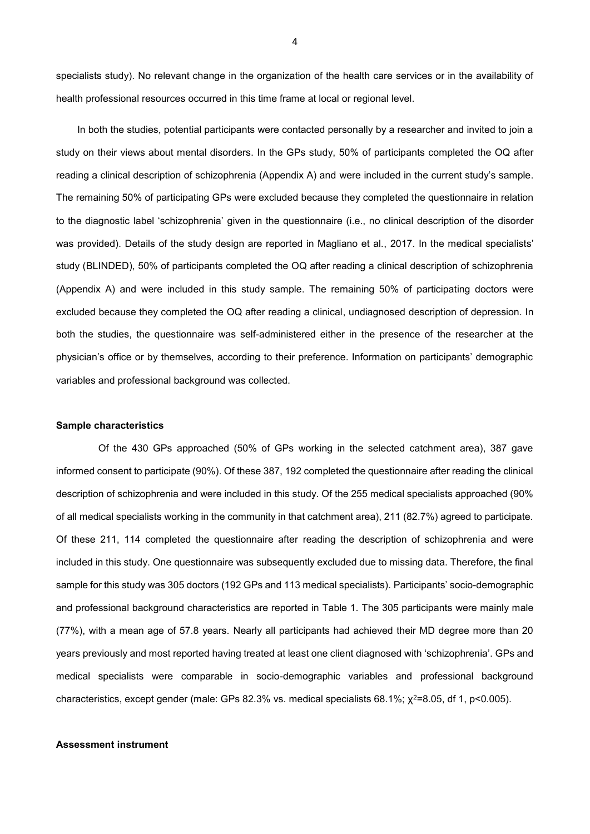specialists study). No relevant change in the organization of the health care services or in the availability of health professional resources occurred in this time frame at local or regional level.

In both the studies, potential participants were contacted personally by a researcher and invited to join a study on their views about mental disorders. In the GPs study, 50% of participants completed the OQ after reading a clinical description of schizophrenia (Appendix A) and were included in the current study's sample. The remaining 50% of participating GPs were excluded because they completed the questionnaire in relation to the diagnostic label 'schizophrenia' given in the questionnaire (i.e., no clinical description of the disorder was provided). Details of the study design are reported in Magliano et al., 2017. In the medical specialists' study (BLINDED), 50% of participants completed the OQ after reading a clinical description of schizophrenia (Appendix A) and were included in this study sample. The remaining 50% of participating doctors were excluded because they completed the OQ after reading a clinical, undiagnosed description of depression. In both the studies, the questionnaire was self-administered either in the presence of the researcher at the physician's office or by themselves, according to their preference. Information on participants' demographic variables and professional background was collected.

#### **Sample characteristics**

Of the 430 GPs approached (50% of GPs working in the selected catchment area), 387 gave informed consent to participate (90%). Of these 387, 192 completed the questionnaire after reading the clinical description of schizophrenia and were included in this study. Of the 255 medical specialists approached (90% of all medical specialists working in the community in that catchment area), 211 (82.7%) agreed to participate. Of these 211, 114 completed the questionnaire after reading the description of schizophrenia and were included in this study. One questionnaire was subsequently excluded due to missing data. Therefore, the final sample for this study was 305 doctors (192 GPs and 113 medical specialists). Participants' socio-demographic and professional background characteristics are reported in Table 1. The 305 participants were mainly male (77%), with a mean age of 57.8 years. Nearly all participants had achieved their MD degree more than 20 years previously and most reported having treated at least one client diagnosed with 'schizophrenia'. GPs and medical specialists were comparable in socio-demographic variables and professional background characteristics, except gender (male: GPs 82.3% vs. medical specialists 68.1%;  $\chi^2$ =8.05, df 1, p<0.005).

### **Assessment instrument**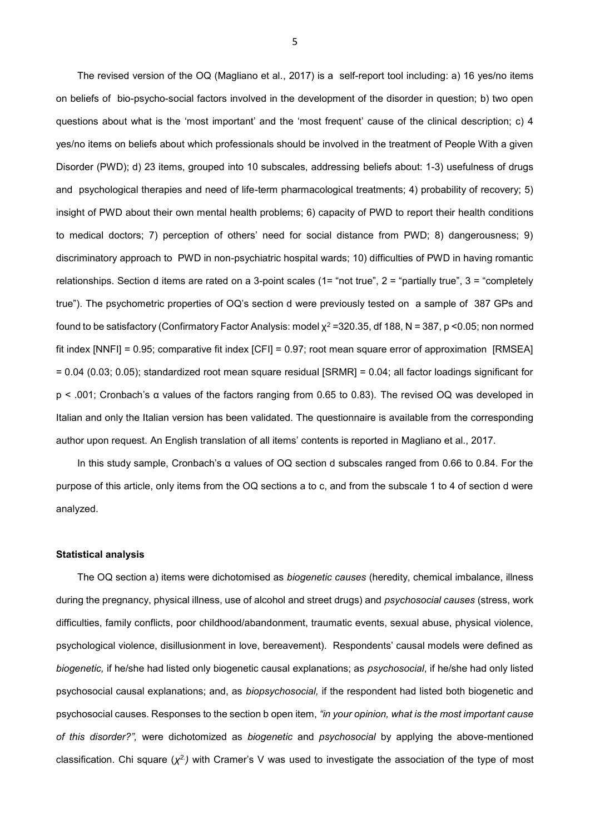The revised version of the OQ (Magliano et al., 2017) is a self-report tool including: a) 16 yes/no items on beliefs of bio-psycho-social factors involved in the development of the disorder in question; b) two open questions about what is the 'most important' and the 'most frequent' cause of the clinical description; c) 4 yes/no items on beliefs about which professionals should be involved in the treatment of People With a given Disorder (PWD); d) 23 items, grouped into 10 subscales, addressing beliefs about: 1-3) usefulness of drugs and psychological therapies and need of life-term pharmacological treatments; 4) probability of recovery; 5) insight of PWD about their own mental health problems; 6) capacity of PWD to report their health conditions to medical doctors; 7) perception of others' need for social distance from PWD; 8) dangerousness; 9) discriminatory approach to PWD in non-psychiatric hospital wards; 10) difficulties of PWD in having romantic relationships. Section d items are rated on a 3-point scales (1= "not true", 2 = "partially true", 3 = "completely true"). The psychometric properties of OQ's section d were previously tested on a sample of 387 GPs and found to be satisfactory (Confirmatory Factor Analysis: model  $\chi^2$  =320.35, df 188, N = 387, p <0.05; non normed fit index [NNFI] = 0.95; comparative fit index [CFI] = 0.97; root mean square error of approximation [RMSEA] = 0.04 (0.03; 0.05); standardized root mean square residual [SRMR] = 0.04; all factor loadings significant for p < .001; Cronbach's α values of the factors ranging from 0.65 to 0.83). The revised OQ was developed in Italian and only the Italian version has been validated. The questionnaire is available from the corresponding author upon request. An English translation of all items' contents is reported in Magliano et al., 2017.

In this study sample, Cronbach's α values of OQ section d subscales ranged from 0.66 to 0.84. For the purpose of this article, only items from the OQ sections a to c, and from the subscale 1 to 4 of section d were analyzed.

#### **Statistical analysis**

The OQ section a) items were dichotomised as *biogenetic causes* (heredity, chemical imbalance, illness during the pregnancy, physical illness, use of alcohol and street drugs) and *psychosocial causes* (stress, work difficulties, family conflicts, poor childhood/abandonment, traumatic events, sexual abuse, physical violence, psychological violence, disillusionment in love, bereavement). Respondents' causal models were defined as *biogenetic,* if he/she had listed only biogenetic causal explanations; as *psychosocial*, if he/she had only listed psychosocial causal explanations; and, as *biopsychosocial,* if the respondent had listed both biogenetic and psychosocial causes. Responses to the section b open item, *"in your opinion, what is the most important cause of this disorder?",* were dichotomized as *biogenetic* and *psychosocial* by applying the above-mentioned classification. Chi square (*χ 2.)* with Cramer's V was used to investigate the association of the type of most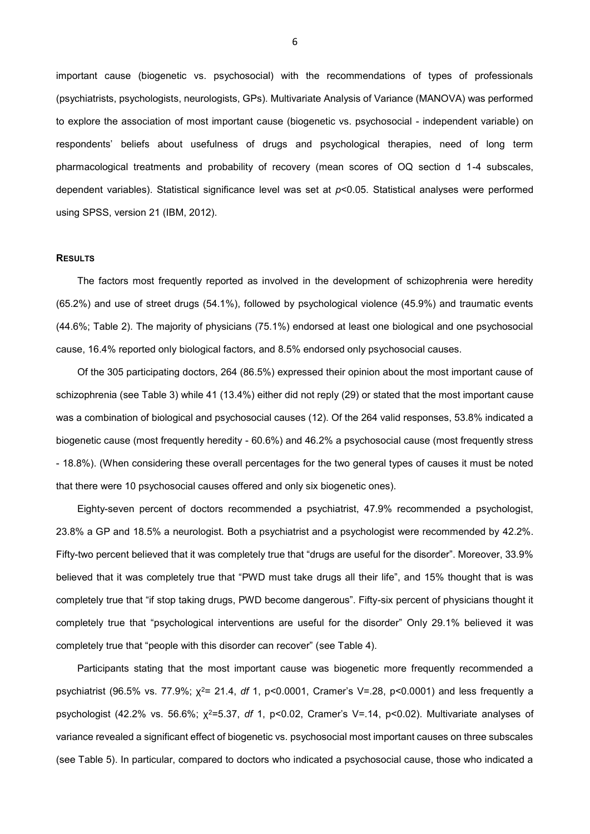important cause (biogenetic vs. psychosocial) with the recommendations of types of professionals (psychiatrists, psychologists, neurologists, GPs). Multivariate Analysis of Variance (MANOVA) was performed to explore the association of most important cause (biogenetic vs. psychosocial - independent variable) on respondents' beliefs about usefulness of drugs and psychological therapies, need of long term pharmacological treatments and probability of recovery (mean scores of OQ section d 1-4 subscales, dependent variables). Statistical significance level was set at *p*<0.05. Statistical analyses were performed using SPSS, version 21 (IBM, 2012).

### **RESULTS**

The factors most frequently reported as involved in the development of schizophrenia were heredity (65.2%) and use of street drugs (54.1%), followed by psychological violence (45.9%) and traumatic events (44.6%; Table 2). The majority of physicians (75.1%) endorsed at least one biological and one psychosocial cause, 16.4% reported only biological factors, and 8.5% endorsed only psychosocial causes.

Of the 305 participating doctors, 264 (86.5%) expressed their opinion about the most important cause of schizophrenia (see Table 3) while 41 (13.4%) either did not reply (29) or stated that the most important cause was a combination of biological and psychosocial causes (12). Of the 264 valid responses, 53.8% indicated a biogenetic cause (most frequently heredity - 60.6%) and 46.2% a psychosocial cause (most frequently stress - 18.8%). (When considering these overall percentages for the two general types of causes it must be noted that there were 10 psychosocial causes offered and only six biogenetic ones).

Eighty-seven percent of doctors recommended a psychiatrist, 47.9% recommended a psychologist, 23.8% a GP and 18.5% a neurologist. Both a psychiatrist and a psychologist were recommended by 42.2%. Fifty-two percent believed that it was completely true that "drugs are useful for the disorder". Moreover, 33.9% believed that it was completely true that "PWD must take drugs all their life", and 15% thought that is was completely true that "if stop taking drugs, PWD become dangerous". Fifty-six percent of physicians thought it completely true that "psychological interventions are useful for the disorder" Only 29.1% believed it was completely true that "people with this disorder can recover" (see Table 4).

Participants stating that the most important cause was biogenetic more frequently recommended a psychiatrist (96.5% vs. 77.9%; χ<sup>2</sup>= 21.4, *df* 1, p<0.0001, Cramer's V=.28, p<0.0001) and less frequently a psychologist (42.2% vs. 56.6%; χ<sup>2</sup>=5.37, *df* 1, p<0.02, Cramer's V=.14, p<0.02). Multivariate analyses of variance revealed a significant effect of biogenetic vs. psychosocial most important causes on three subscales (see Table 5). In particular, compared to doctors who indicated a psychosocial cause, those who indicated a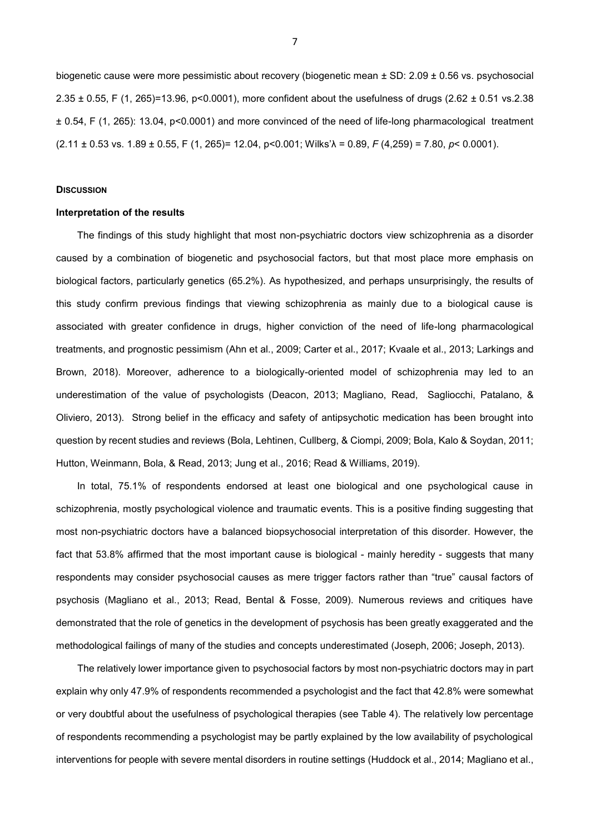biogenetic cause were more pessimistic about recovery (biogenetic mean ± SD: 2.09 ± 0.56 vs. psychosocial 2.35 ± 0.55, F (1, 265)=13.96, p<0.0001), more confident about the usefulness of drugs (2.62 ± 0.51 vs.2.38 ± 0.54, F (1, 265): 13.04, p<0.0001) and more convinced of the need of life-long pharmacological treatment (2.11 ± 0.53 vs. 1.89 ± 0.55, F (1, 265)= 12.04, p<0.001; Wilks'λ = 0.89, *F* (4,259) = 7.80, *p*< 0.0001).

## **DISCUSSION**

#### **Interpretation of the results**

The findings of this study highlight that most non-psychiatric doctors view schizophrenia as a disorder caused by a combination of biogenetic and psychosocial factors, but that most place more emphasis on biological factors, particularly genetics (65.2%). As hypothesized, and perhaps unsurprisingly, the results of this study confirm previous findings that viewing schizophrenia as mainly due to a biological cause is associated with greater confidence in drugs, higher conviction of the need of life-long pharmacological treatments, and prognostic pessimism (Ahn et al., 2009; Carter et al., 2017; Kvaale et al., 2013; Larkings and Brown, 2018). Moreover, adherence to a biologically-oriented model of schizophrenia may led to an underestimation of the value of psychologists (Deacon, 2013; Magliano, [Read,](https://www.ncbi.nlm.nih.gov/pubmed/?term=Read%20J%5BAuthor%5D&cauthor=true&cauthor_uid=23916362) [Sagliocchi,](https://www.ncbi.nlm.nih.gov/pubmed/?term=Sagliocchi%20A%5BAuthor%5D&cauthor=true&cauthor_uid=23916362) [Patalano, &](https://www.ncbi.nlm.nih.gov/pubmed/?term=Patalano%20M%5BAuthor%5D&cauthor=true&cauthor_uid=23916362) [Oliviero, 2](https://www.ncbi.nlm.nih.gov/pubmed/?term=Oliviero%20N%5BAuthor%5D&cauthor=true&cauthor_uid=23916362)013). Strong belief in the efficacy and safety of antipsychotic medication has been brought into question by recent studies and reviews (Bola, Lehtinen, Cullberg, & Ciompi, 2009; Bola, Kalo & Soydan, 2011; Hutton, Weinmann, Bola, & Read, 2013; Jung et al., 2016; Read & Williams, 2019).

In total, 75.1% of respondents endorsed at least one biological and one psychological cause in schizophrenia, mostly psychological violence and traumatic events. This is a positive finding suggesting that most non-psychiatric doctors have a balanced biopsychosocial interpretation of this disorder. However, the fact that 53.8% affirmed that the most important cause is biological - mainly heredity - suggests that many respondents may consider psychosocial causes as mere trigger factors rather than "true" causal factors of psychosis (Magliano et al., 2013; Read, Bental & Fosse, 2009). Numerous reviews and critiques have demonstrated that the role of genetics in the development of psychosis has been greatly exaggerated and the methodological failings of many of the studies and concepts underestimated (Joseph, 2006; Joseph, 2013).

The relatively lower importance given to psychosocial factors by most non-psychiatric doctors may in part explain why only 47.9% of respondents recommended a psychologist and the fact that 42.8% were somewhat or very doubtful about the usefulness of psychological therapies (see Table 4). The relatively low percentage of respondents recommending a psychologist may be partly explained by the low availability of psychological interventions for people with severe mental disorders in routine settings (Huddock et al., 2014; Magliano et al.,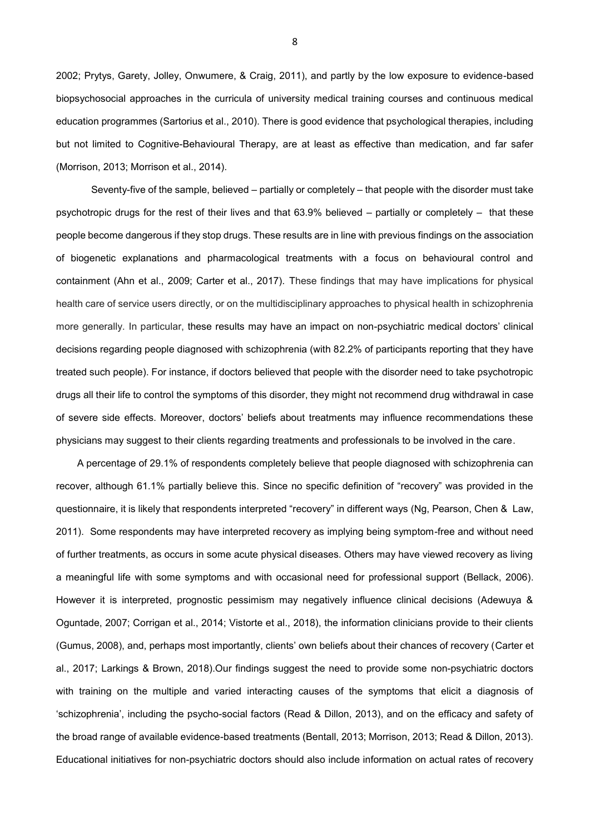2002; Prytys, Garety, Jolley, Onwumere, & Craig, 2011), and partly by the low exposure to evidence-based biopsychosocial approaches in the curricula of university medical training courses and continuous medical education programmes (Sartorius et al., 2010). There is good evidence that psychological therapies, including but not limited to Cognitive-Behavioural Therapy, are at least as effective than medication, and far safer (Morrison, 2013; Morrison et al., 2014).

Seventy-five of the sample, believed – partially or completely – that people with the disorder must take psychotropic drugs for the rest of their lives and that 63.9% believed – partially or completely – that these people become dangerous if they stop drugs. These results are in line with previous findings on the association of biogenetic explanations and pharmacological treatments with a focus on behavioural control and containment (Ahn et al., 2009; Carter et al., 2017). These findings that may have implications for physical health care of service users directly, or on the multidisciplinary approaches to physical health in schizophrenia more generally. In particular, these results may have an impact on non-psychiatric medical doctors' clinical decisions regarding people diagnosed with schizophrenia (with 82.2% of participants reporting that they have treated such people). For instance, if doctors believed that people with the disorder need to take psychotropic drugs all their life to control the symptoms of this disorder, they might not recommend drug withdrawal in case of severe side effects. Moreover, doctors' beliefs about treatments may influence recommendations these physicians may suggest to their clients regarding treatments and professionals to be involved in the care.

A percentage of 29.1% of respondents completely believe that people diagnosed with schizophrenia can recover, although 61.1% partially believe this. Since no specific definition of "recovery" was provided in the questionnaire, it is likely that respondents interpreted "recovery" in different ways (Ng, Pearson, Chen & Law, 2011). Some respondents may have interpreted recovery as implying being symptom-free and without need of further treatments, as occurs in some acute physical diseases. Others may have viewed recovery as living a meaningful life with some symptoms and with occasional need for professional support (Bellack, 2006). However it is interpreted, prognostic pessimism may negatively influence clinical decisions (Adewuya & Oguntade, 2007; Corrigan et al., 2014; Vistorte et al., 2018), the information clinicians provide to their clients (Gumus, 2008), and, perhaps most importantly, clients' own beliefs about their chances of recovery (Carter et al., 2017; Larkings & Brown, 2018).Our findings suggest the need to provide some non-psychiatric doctors with training on the multiple and varied interacting causes of the symptoms that elicit a diagnosis of 'schizophrenia', including the psycho-social factors (Read & Dillon, 2013), and on the efficacy and safety of the broad range of available evidence-based treatments (Bentall, 2013; Morrison, 2013; Read & Dillon, 2013). Educational initiatives for non-psychiatric doctors should also include information on actual rates of recovery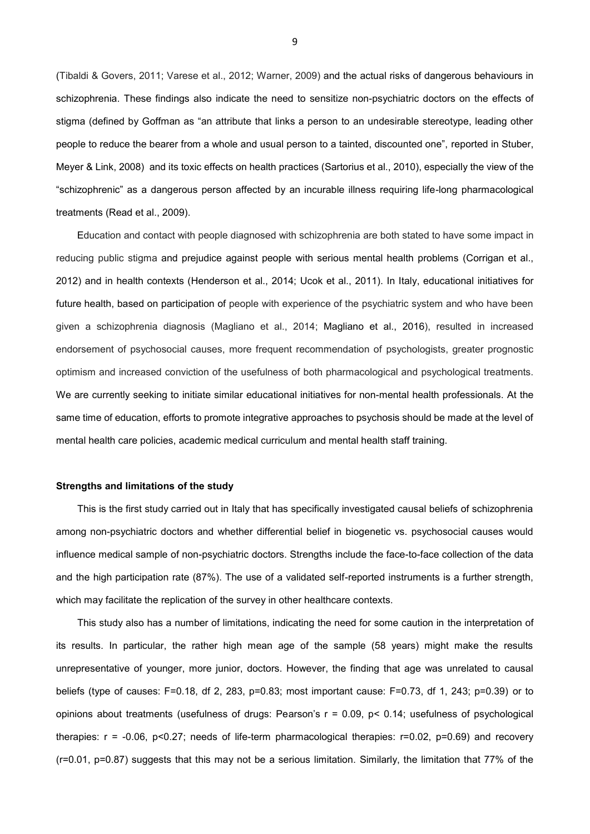(Tibaldi & Govers, 2011; Varese et al., 2012; Warner, 2009) and the actual risks of dangerous behaviours in schizophrenia. These findings also indicate the need to sensitize non-psychiatric doctors on the effects of stigma (defined by Goffman as "an attribute that links a person to an undesirable stereotype, leading other people to reduce the bearer from a whole and usual person to a tainted, discounted one", reported in [Stuber,](https://www.ncbi.nlm.nih.gov/pubmed/?term=Stuber%20J%5BAuthor%5D&cauthor=true&cauthor_uid=18440687) [Meyer](https://www.ncbi.nlm.nih.gov/pubmed/?term=Meyer%20I%5BAuthor%5D&cauthor=true&cauthor_uid=18440687) & [Link,](https://www.ncbi.nlm.nih.gov/pubmed/?term=Link%20B%5BAuthor%5D&cauthor=true&cauthor_uid=18440687) 2008) and its toxic effects on health practices (Sartorius et al., 2010), especially the view of the "schizophrenic" as a dangerous person affected by an incurable illness requiring life-long pharmacological treatments (Read et al., 2009).

Education and contact with people diagnosed with schizophrenia are both stated to have some impact in reducing public stigma and prejudice against people with serious mental health problems (Corrigan et al., 2012) and in health contexts (Henderson et al., 2014; Ucok et al., 2011). In Italy, educational initiatives for future health, based on participation of people with experience of the psychiatric system and who have been given a schizophrenia diagnosis (Magliano et al., 2014; Magliano et al., 2016), resulted in increased endorsement of psychosocial causes, more frequent recommendation of psychologists, greater prognostic optimism and increased conviction of the usefulness of both pharmacological and psychological treatments. We are currently seeking to initiate similar educational initiatives for non-mental health professionals. At the same time of education, efforts to promote integrative approaches to psychosis should be made at the level of mental health care policies, academic medical curriculum and mental health staff training.

#### **Strengths and limitations of the study**

This is the first study carried out in Italy that has specifically investigated causal beliefs of schizophrenia among non-psychiatric doctors and whether differential belief in biogenetic vs. psychosocial causes would influence medical sample of non-psychiatric doctors. Strengths include the face-to-face collection of the data and the high participation rate (87%). The use of a validated self-reported instruments is a further strength, which may facilitate the replication of the survey in other healthcare contexts.

This study also has a number of limitations, indicating the need for some caution in the interpretation of its results. In particular, the rather high mean age of the sample (58 years) might make the results unrepresentative of younger, more junior, doctors. However, the finding that age was unrelated to causal beliefs (type of causes: F=0.18, df 2, 283, p=0.83; most important cause: F=0.73, df 1, 243; p=0.39) or to opinions about treatments (usefulness of drugs: Pearson's r = 0.09, p< 0.14; usefulness of psychological therapies: r = -0.06, p<0.27; needs of life-term pharmacological therapies: r=0.02, p=0.69) and recovery (r=0.01, p=0.87) suggests that this may not be a serious limitation. Similarly, the limitation that 77% of the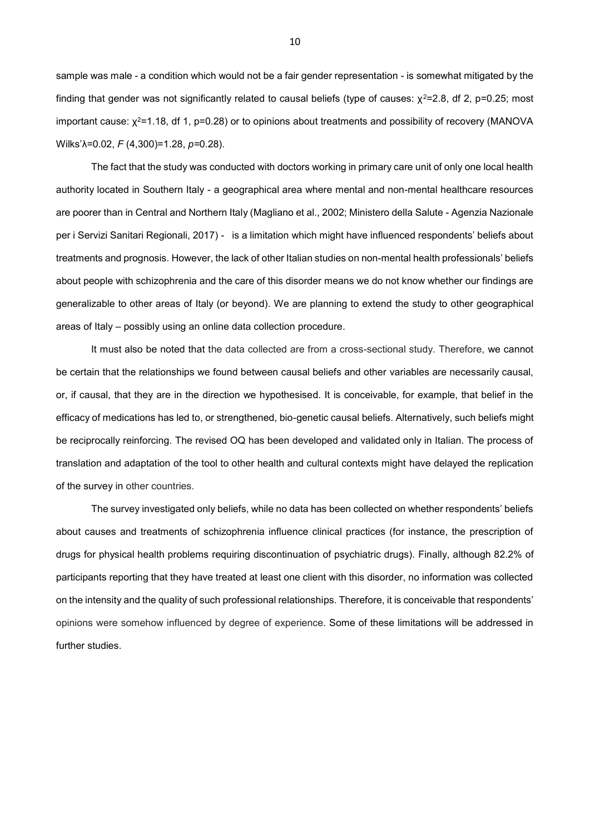sample was male - a condition which would not be a fair gender representation - is somewhat mitigated by the finding that gender was not significantly related to causal beliefs (type of causes:  $χ²=2.8$ , df 2, p=0.25; most important cause: χ<sup>2</sup>=1.18, df 1, p=0.28) or to opinions about treatments and possibility of recovery (MANOVA Wilks'λ=0.02, *F* (4,300)=1.28, *p=*0.28).

The fact that the study was conducted with doctors working in primary care unit of only one local health authority located in Southern Italy - a geographical area where mental and non-mental healthcare resources are poorer than in Central and Northern Italy (Magliano et al., 2002; Ministero della Salute - Agenzia Nazionale per i Servizi Sanitari Regionali, 2017) - is a limitation which might have influenced respondents' beliefs about treatments and prognosis. However, the lack of other Italian studies on non-mental health professionals' beliefs about people with schizophrenia and the care of this disorder means we do not know whether our findings are generalizable to other areas of Italy (or beyond). We are planning to extend the study to other geographical areas of Italy – possibly using an online data collection procedure.

It must also be noted that the data collected are from a cross-sectional study. Therefore, we cannot be certain that the relationships we found between causal beliefs and other variables are necessarily causal, or, if causal, that they are in the direction we hypothesised. It is conceivable, for example, that belief in the efficacy of medications has led to, or strengthened, bio-genetic causal beliefs. Alternatively, such beliefs might be reciprocally reinforcing. The revised OQ has been developed and validated only in Italian. The process of translation and adaptation of the tool to other health and cultural contexts might have delayed the replication of the survey in other countries.

The survey investigated only beliefs, while no data has been collected on whether respondents' beliefs about causes and treatments of schizophrenia influence clinical practices (for instance, the prescription of drugs for physical health problems requiring discontinuation of psychiatric drugs). Finally, although 82.2% of participants reporting that they have treated at least one client with this disorder, no information was collected on the intensity and the quality of such professional relationships. Therefore, it is conceivable that respondents' opinions were somehow influenced by degree of experience. Some of these limitations will be addressed in further studies.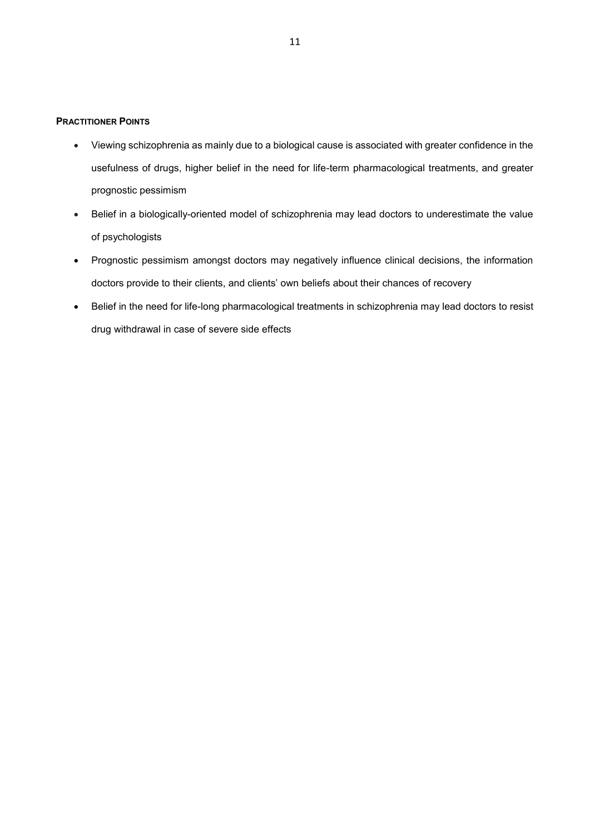## **PRACTITIONER POINTS**

- Viewing schizophrenia as mainly due to a biological cause is associated with greater confidence in the usefulness of drugs, higher belief in the need for life-term pharmacological treatments, and greater prognostic pessimism
- Belief in a biologically-oriented model of schizophrenia may lead doctors to underestimate the value of psychologists
- Prognostic pessimism amongst doctors may negatively influence clinical decisions, the information doctors provide to their clients, and clients' own beliefs about their chances of recovery
- Belief in the need for life-long pharmacological treatments in schizophrenia may lead doctors to resist drug withdrawal in case of severe side effects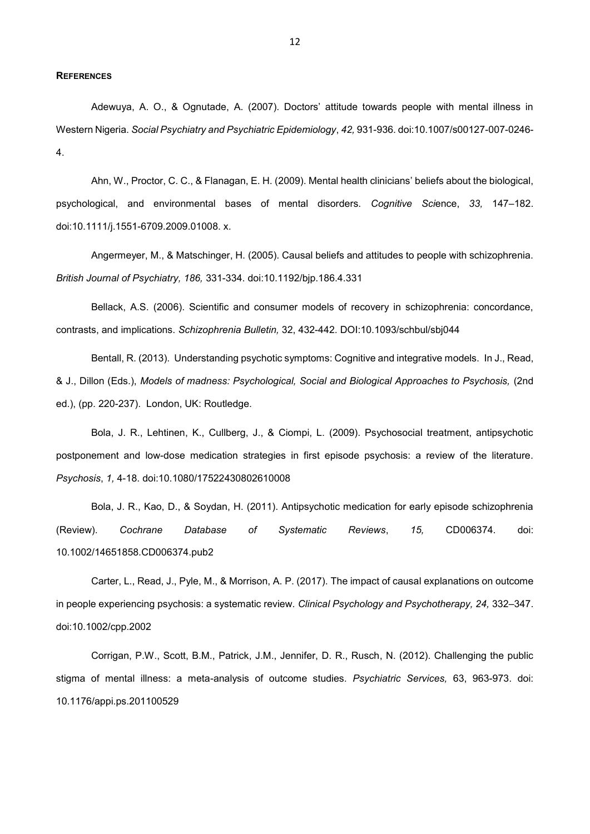#### **REFERENCES**

Adewuya, A. O., & Ognutade, A. (2007). Doctors' attitude towards people with mental illness in Western Nigeria. *Social Psychiatry and Psychiatric Epidemiology*, *42,* 931-936. doi:10.1007/s00127-007-0246- 4.

Ahn, W., Proctor, C. C., & Flanagan, E. H. (2009). Mental health clinicians' beliefs about the biological, psychological, and environmental bases of mental disorders. *Cognitive Sci*ence, *33,* 147–182. doi:10.1111/j.1551-6709.2009.01008. x.

Angermeyer, M., & Matschinger, H. (2005). Causal beliefs and attitudes to people with schizophrenia. *British Journal of Psychiatry, 186,* 331-334. doi[:10.1192/bjp.186.4.331](https://doi.org/10.1192/bjp.186.4.331)

Bellack, A.S. (2006). Scientific and consumer models of recovery in schizophrenia: concordance, contrasts, and implications. *Schizophrenia Bulletin,* 32, 432-442. DOI[:10.1093/schbul/sbj044](https://doi.org/10.1093/schbul/sbj044)

Bentall, R. (2013). Understanding psychotic symptoms: Cognitive and integrative models. In J., Read, & J., Dillon (Eds.), *Models of madness: Psychological, Social and Biological Approaches to Psychosis,* (2nd ed.), (pp. 220-237). London, UK: Routledge.

Bola, J. R., Lehtinen, K., Cullberg, J., & Ciompi, L. (2009). Psychosocial treatment, antipsychotic postponement and low-dose medication strategies in first episode psychosis: a review of the literature. *Psychosis*, *1,* 4-18. doi:10.1080/17522430802610008

Bola, J. R., Kao, D., & Soydan, H. (2011). Antipsychotic medication for early episode schizophrenia (Review). *Cochrane Database of Systematic Reviews*, *15,* CD006374. doi: 10.1002/14651858.CD006374.pub2

Carter, L., Read, J., Pyle, M., & Morrison, A. P. (2017). The impact of causal explanations on outcome in people experiencing psychosis: a systematic review. *Clinical Psychology and Psychotherapy, 24,* 332–347. doi:10.1002/cpp.2002

Corrigan, P.W., Scott, B.M., Patrick, J.M., Jennifer, D. R., Rusch, N. (2012). Challenging the public stigma of mental illness: a meta-analysis of outcome studies. *Psychiatric Services,* 63, 963-973. doi: 10.1176/appi.ps.201100529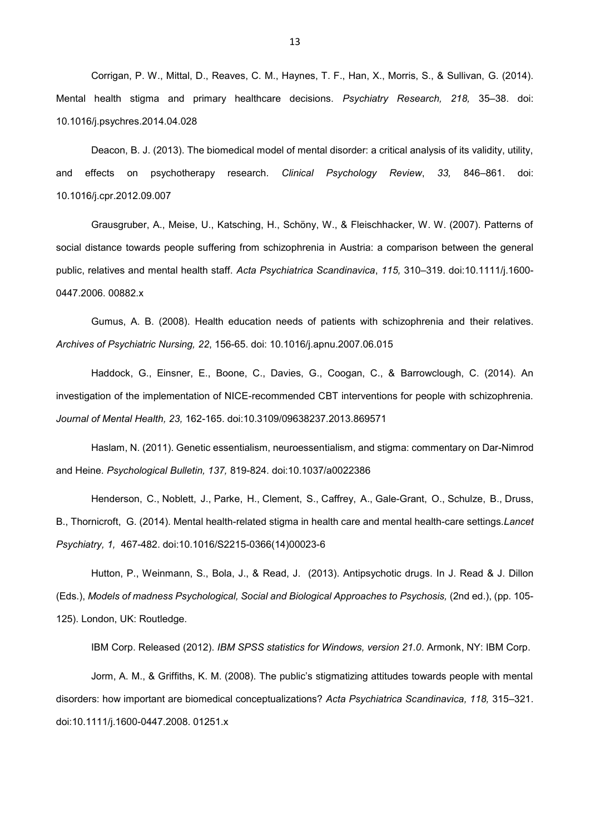Corrigan, P. W., Mittal, D., Reaves, C. M., Haynes, T. F., Han, X., Morris, S., & Sullivan, G. (2014). Mental health stigma and primary healthcare decisions. *Psychiatry Research, 218,* 35–38. doi: 10.1016/j.psychres.2014.04.028

Deacon, B. J. (2013). The biomedical model of mental disorder: a critical analysis of its validity, utility, and effects on psychotherapy research. *Clinical Psychology Review*, *33,* 846–861. doi: 10.1016/j.cpr.2012.09.007

Grausgruber, A., Meise, U., Katsching, H., Schöny, W., & Fleischhacker, W. W. (2007). Patterns of social distance towards people suffering from schizophrenia in Austria: a comparison between the general public, relatives and mental health staff. *Acta Psychiatrica Scandinavica*, *115,* 310–319. doi:10.1111/j.1600- 0447.2006. 00882.x

Gumus, A. B. (2008). Health education needs of patients with schizophrenia and their relatives. *[Archives of Psychiatric Nursing,](https://www.ncbi.nlm.nih.gov/pubmed/18505697) 22*, 156-65. doi: 10.1016/j.apnu.2007.06.015

Haddock, G., Einsner, E., Boone, C., Davies, G., Coogan, C., & Barrowclough, C. (2014). An investigation of the implementation of NICE-recommended CBT interventions for people with schizophrenia. *Journal of Mental Health, 23,* 162-165. doi:10.3109/09638237.2013.869571

Haslam, N. (2011). Genetic essentialism, neuroessentialism, and stigma: commentary on Dar-Nimrod and Heine. *Psychological Bulletin, 137,* 819-824. doi:10.1037/a0022386

[Henderson,](https://www.ncbi.nlm.nih.gov/pubmed/?term=Henderson%20C%5BAuthor%5D&cauthor=true&cauthor_uid=26361202) C., [Noblett, J.](https://www.ncbi.nlm.nih.gov/pubmed/?term=Noblett%20J%5BAuthor%5D&cauthor=true&cauthor_uid=26361202), [Parke, H.](https://www.ncbi.nlm.nih.gov/pubmed/?term=Parke%20H%5BAuthor%5D&cauthor=true&cauthor_uid=26361202), [Clement, S.](https://www.ncbi.nlm.nih.gov/pubmed/?term=Clement%20S%5BAuthor%5D&cauthor=true&cauthor_uid=26361202), [Caffrey, A.](https://www.ncbi.nlm.nih.gov/pubmed/?term=Caffrey%20A%5BAuthor%5D&cauthor=true&cauthor_uid=26361202), [Gale-Grant, O.](https://www.ncbi.nlm.nih.gov/pubmed/?term=Gale-Grant%20O%5BAuthor%5D&cauthor=true&cauthor_uid=26361202), [Schulze, B.](https://www.ncbi.nlm.nih.gov/pubmed/?term=Schulze%20B%5BAuthor%5D&cauthor=true&cauthor_uid=26361202), [Druss,](https://www.ncbi.nlm.nih.gov/pubmed/?term=Druss%20B%5BAuthor%5D&cauthor=true&cauthor_uid=26361202)  [B.](https://www.ncbi.nlm.nih.gov/pubmed/?term=Druss%20B%5BAuthor%5D&cauthor=true&cauthor_uid=26361202), [Thornicroft, G.](https://www.ncbi.nlm.nih.gov/pubmed/?term=Thornicroft%20G%5BAuthor%5D&cauthor=true&cauthor_uid=26361202) (2014). Mental health-related stigma in health care and mental health-care settings.*Lancet Psychiatry, 1,* 467-482. doi:10.1016/S2215-0366(14)00023-6

Hutton, P., Weinmann, S., Bola, J., & Read, J. (2013). Antipsychotic drugs. In J. Read & J. Dillon (Eds.), *Models of madness Psychological, Social and Biological Approaches to Psychosis,* (2nd ed.), (pp. 105- 125). London, UK: Routledge.

IBM Corp. Released (2012). *IBM SPSS statistics for Windows, version 21.0*. Armonk, NY: IBM Corp.

Jorm, A. M., & Griffiths, K. M. (2008). The public's stigmatizing attitudes towards people with mental disorders: how important are biomedical conceptualizations? *Acta Psychiatrica Scandinavica, 118,* 315–321. doi:10.1111/j.1600-0447.2008. 01251.x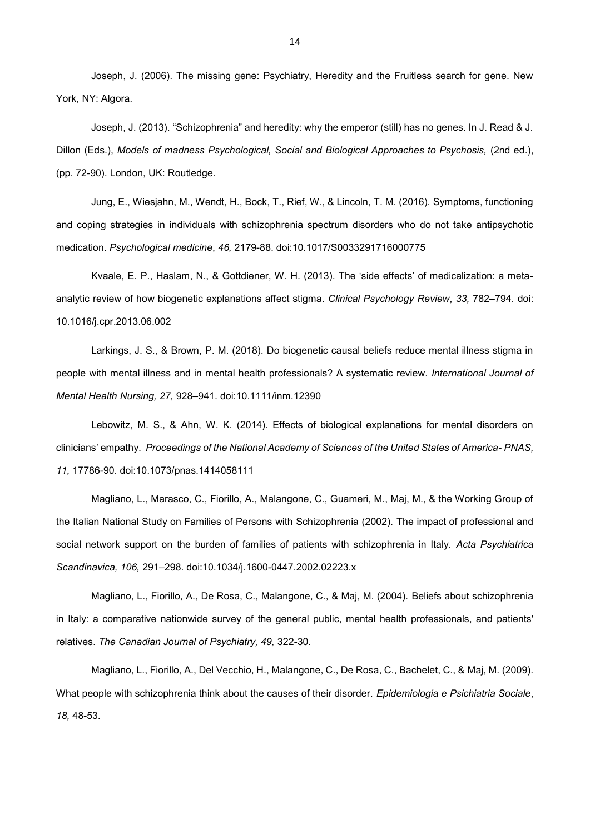Joseph, J. (2006). The missing gene: Psychiatry, Heredity and the Fruitless search for gene. New York, NY: Algora.

Joseph, J. (2013). "Schizophrenia" and heredity: why the emperor (still) has no genes. In J. Read & J. Dillon (Eds.), *Models of madness Psychological, Social and Biological Approaches to Psychosis,* (2nd ed.), (pp. 72-90). London, UK: Routledge.

Jung, E., Wiesjahn, M., Wendt, H., Bock, T., Rief, W., & Lincoln, T. M. (2016). Symptoms, functioning and coping strategies in individuals with schizophrenia spectrum disorders who do not take antipsychotic medication. *Psychological medicine*, *46,* 2179-88. doi:10.1017/S0033291716000775

Kvaale, E. P., Haslam, N., & Gottdiener, W. H. (2013). The 'side effects' of medicalization: a metaanalytic review of how biogenetic explanations affect stigma. *Clinical Psychology Review*, *33,* 782–794. doi: 10.1016/j.cpr.2013.06.002

Larkings, J. S., & Brown, P. M. (2018). Do biogenetic causal beliefs reduce mental illness stigma in people with mental illness and in mental health professionals? A systematic review. *International Journal of Mental Health Nursing, 27,* 928–941. doi:10.1111/inm.12390

Lebowitz, M. S., & Ahn, W. K. (2014). Effects of biological explanations for mental disorders on clinicians' empathy. *Proceedings of the National Academy of Sciences of the United States of America- PNAS, 11,* 17786-90. doi:10.1073/pnas.1414058111

Magliano, L., Marasco, C., Fiorillo, A., Malangone, C., Guameri, M., Maj, M., & the Working Group of the Italian National Study on Families of Persons with Schizophrenia (2002). The impact of professional and social network support on the burden of families of patients with schizophrenia in Italy. *Acta Psychiatrica Scandinavica, 106,* 291–298. [doi:10.1034/j.1600-0447.2002.02223.x](https://doi.org/10.1034/j.1600-0447.2002.02223.x)

Magliano, L., Fiorillo, A., De Rosa, C., Malangone, C., & Maj, M. (2004). Beliefs about schizophrenia in Italy: a comparative nationwide survey of the general public, mental health professionals, and patients' relatives. *The Canadian Journal of Psychiatry, 49,* 322-30.

Magliano, L., Fiorillo, A., Del Vecchio, H., Malangone, C., De Rosa, C., Bachelet, C., & [Maj, M.](https://www.ncbi.nlm.nih.gov/pubmed/?term=Maj%20M%5BAuthor%5D&cauthor=true&cauthor_uid=19378699) (2009). What people with schizophrenia think about the causes of their disorder. *Epidemiologia e Psichiatria Sociale*, *18,* 48-53.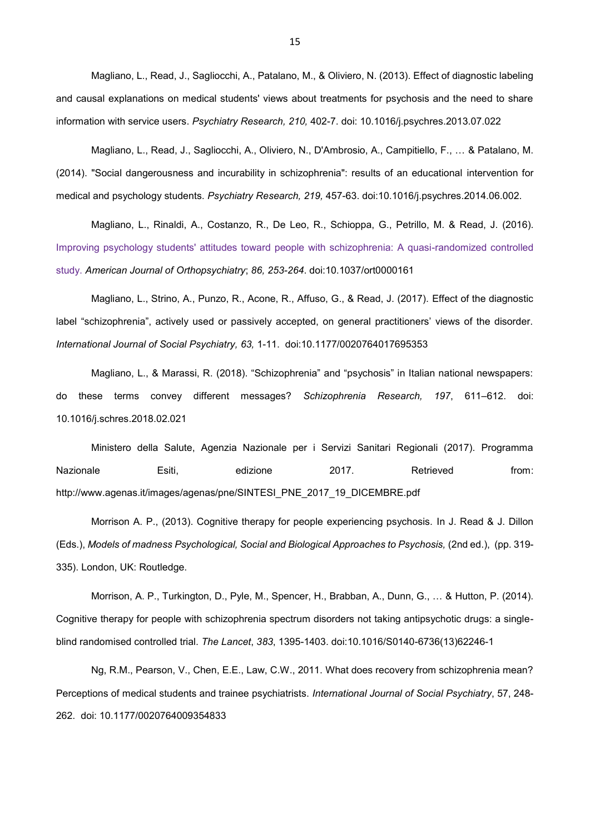Magliano, L., [Read, J.](https://www.ncbi.nlm.nih.gov/pubmed/?term=Read%20J%5BAuthor%5D&cauthor=true&cauthor_uid=23916362), [Sagliocchi, A.](https://www.ncbi.nlm.nih.gov/pubmed/?term=Sagliocchi%20A%5BAuthor%5D&cauthor=true&cauthor_uid=23916362), [Patalano, M.](https://www.ncbi.nlm.nih.gov/pubmed/?term=Patalano%20M%5BAuthor%5D&cauthor=true&cauthor_uid=23916362), & [Oliviero, N.](https://www.ncbi.nlm.nih.gov/pubmed/?term=Oliviero%20N%5BAuthor%5D&cauthor=true&cauthor_uid=23916362) (2013). Effect of diagnostic labeling and causal explanations on medical students' views about treatments for psychosis and the need to share information with service users. *Psychiatry Research, 210,* 402-7. doi: 10.1016/j.psychres.2013.07.022

Magliano, L., Read, J., Sagliocchi, A., Oliviero, N., D'Ambrosio, A., Campitiello, F., … & Patalano, M. (2014). ["Social dangerousness and incurability in schizophrenia": results of an educational](https://www.ncbi.nlm.nih.gov/pubmed/25004873) intervention for [medical and psychology students.](https://www.ncbi.nlm.nih.gov/pubmed/25004873) *Psychiatry Research, 219,* 457-63. doi:10.1016/j.psychres.2014.06.002.

Magliano, L., Rinaldi, A., Costanzo, R., De Leo, R., Schioppa, G., Petrillo, M. & Read, J. (2016). [Improving psychology students' attitudes toward people with schizophrenia: A quasi-randomized controlled](https://www.ncbi.nlm.nih.gov/pubmed/26963178)  [study.](https://www.ncbi.nlm.nih.gov/pubmed/26963178) *American Journal of Orthopsychiatry*; *86, 253-264*. doi:10.1037/ort0000161

Magliano, L., Strino, A., Punzo, R., Acone, R., Affuso, G., & Read, J. (2017). Effect of the diagnostic label "schizophrenia", actively used or passively accepted, on general practitioners' views of the disorder. *International Journal of Social Psychiatry, 63,* 1-11. doi:10.1177/0020764017695353

Magliano, L., & Marassi, R. (2018). "Schizophrenia" and "psychosis" in Italian national newspapers: do these terms convey different messages? *Schizophrenia Research, 197*, 611–612. doi: 10.1016/j.schres.2018.02.021

Ministero della Salute, Agenzia Nazionale per i Servizi Sanitari Regionali (2017). Programma Nazionale Esiti, edizione 2017. Retrieved from: [http://www.agenas.it/images/agenas/pne/SINTESI\\_PNE\\_2017\\_19\\_DICEMBRE.pdf](http://www.agenas.it/images/agenas/pne/SINTESI_PNE_2017_19_DICEMBRE.pdf)

Morrison A. P., (2013). Cognitive therapy for people experiencing psychosis. In J. Read & J. Dillon (Eds.), *Models of madness Psychological, Social and Biological Approaches to Psychosis,* (2nd ed.), (pp. 319- 335). London, UK: Routledge.

Morrison, A. P., Turkington, D., Pyle, M., Spencer, H., Brabban, A., Dunn, G., … & Hutton, P. (2014). Cognitive therapy for people with schizophrenia spectrum disorders not taking antipsychotic drugs: a singleblind randomised controlled trial. *The Lancet*, *383*, 1395-1403. doi:10.1016/S0140-6736(13)62246-1

Ng, R.M., Pearson, V., Chen, E.E., Law, C.W., 2011. What does recovery from schizophrenia mean? Perceptions of medical students and trainee psychiatrists. *International Journal of Social Psychiatry*, 57, 248- 262. doi: 10.1177/0020764009354833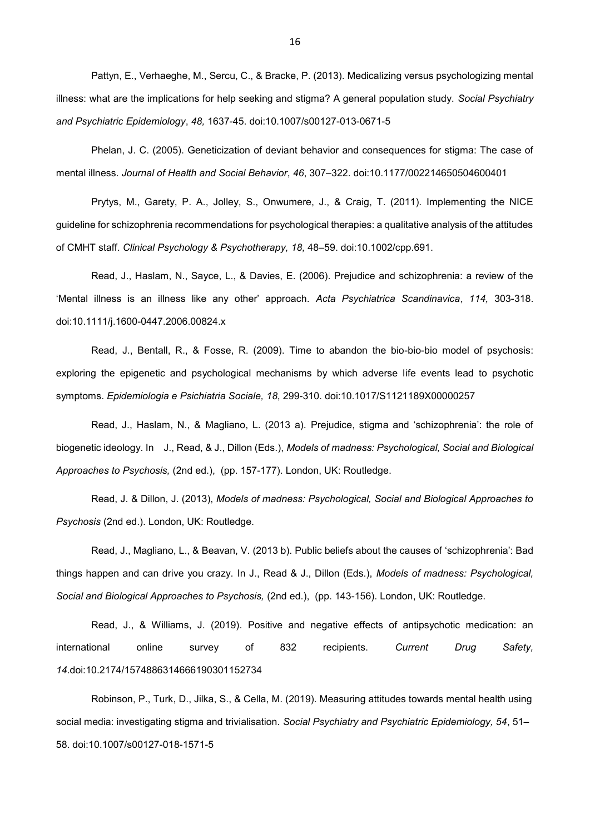Pattyn, E., Verhaeghe, M., Sercu, C., & Bracke, P. (2013). Medicalizing versus psychologizing mental illness: what are the implications for help seeking and stigma? A general population study. *Social Psychiatry and Psychiatric Epidemiology*, *48,* 1637-45. doi:10.1007/s00127-013-0671-5

Phelan, J. C. (2005). Geneticization of deviant behavior and consequences for stigma: The case of mental illness. *Journal of Health and Social Behavior*, *46*, 307–322. doi[:10.1177/002214650504600401](https://doi.org/10.1177/002214650504600401)

Prytys, M., Garety, P. A., Jolley, S., Onwumere, J., & Craig, T. (2011). Implementing the NICE guideline for schizophrenia recommendations for psychological therapies: a qualitative analysis of the attitudes of CMHT staff. *Clinical Psychology & Psychotherapy, 18,* 48–59. doi:10.1002/cpp.691.

Read, J., Haslam, N., Sayce, L., & Davies, E. (2006). Prejudice and schizophrenia: a review of the 'Mental illness is an illness like any other' approach. *Acta Psychiatrica Scandinavica*, *114,* 303-318. doi[:10.1111/j.1600-0447.2006.00824.x](https://doi.org/10.1111/j.1600-0447.2006.00824.x)

Read, J., Bentall, R., & Fosse, R. (2009). Time to abandon the bio-bio-bio model of psychosis: exploring the epigenetic and psychological mechanisms by which adverse life events lead to psychotic symptoms. *[Epidemiologia e Psichiatria Sociale,](https://www.researchgate.net/journal/1121-189X_Epidemiologia_e_psichiatria_sociale) 18*, 299-310. doi:10.1017/S1121189X00000257

Read, J., Haslam, N., & Magliano, L. (2013 a). Prejudice, stigma and 'schizophrenia': the role of biogenetic ideology. In J., Read, & J., Dillon (Eds.), *Models of madness: Psychological, Social and Biological Approaches to Psychosis,* (2nd ed.), (pp. 157-177). London, UK: Routledge.

Read, J. & Dillon, J. (2013), *Models of madness: Psychological, Social and Biological Approaches to Psychosis* (2nd ed.). London, UK: Routledge.

Read, J., Magliano, L., & Beavan, V. (2013 b). Public beliefs about the causes of 'schizophrenia': Bad things happen and can drive you crazy. In J., Read & J., Dillon (Eds.), *Models of madness: Psychological, Social and Biological Approaches to Psychosis,* (2nd ed.), (pp. 143-156). London, UK: Routledge.

Read, J., & Williams, J. (2019). Positive and negative effects of antipsychotic medication: an international online survey of 832 recipients. *Current Drug Safety, 14*.doi:10.2174/1574886314666190301152734

Robinson, P., Turk, D., Jilka, S., & Cella, M. (2019). Measuring attitudes towards mental health using social media: investigating stigma and trivialisation. *Social Psychiatry and Psychiatric Epidemiology, 54*, 51– 58. doi:10.1007/s00127-018-1571-5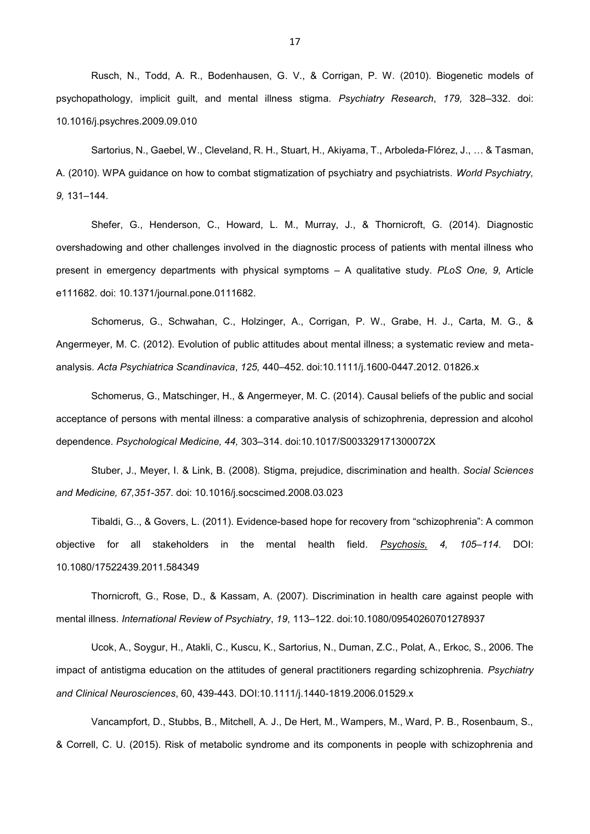Rusch, N., Todd, A. R., Bodenhausen, G. V., & Corrigan, P. W. (2010). Biogenetic models of psychopathology, implicit guilt, and mental illness stigma*. Psychiatry Research*, *179,* 328–332. doi: 10.1016/j.psychres.2009.09.010

Sartorius, N., Gaebel, W., Cleveland, R. H., [Stuart, H.](https://www.ncbi.nlm.nih.gov/pubmed/?term=Stuart%20H%5BAuthor%5D&cauthor=true&cauthor_uid=20975855), [Akiyama, T.](https://www.ncbi.nlm.nih.gov/pubmed/?term=Akiyama%20T%5BAuthor%5D&cauthor=true&cauthor_uid=20975855), [Arboleda-Flórez, J.](https://www.ncbi.nlm.nih.gov/pubmed/?term=Arboleda-Fl%C3%B3rez%20J%5BAuthor%5D&cauthor=true&cauthor_uid=20975855), … & [Tasman,](https://www.ncbi.nlm.nih.gov/pubmed/?term=Tasman%20A%5BAuthor%5D&cauthor=true&cauthor_uid=20975855)  [A.](https://www.ncbi.nlm.nih.gov/pubmed/?term=Tasman%20A%5BAuthor%5D&cauthor=true&cauthor_uid=20975855) (2010). WPA guidance on how to combat stigmatization of psychiatry and psychiatrists. *World Psychiatry, 9,* 131–144.

Shefer, G., Henderson, C., Howard, L. M., Murray, J., & Thornicroft, G. (2014). Diagnostic overshadowing and other challenges involved in the diagnostic process of patients with mental illness who present in emergency departments with physical symptoms – A qualitative study. *PLoS One, 9,* Article e111682. doi: 10.1371/journal.pone.0111682.

Schomerus, G., Schwahan, C., Holzinger, A., Corrigan, P. W., Grabe, H. J., Carta, M. G., & Angermeyer, M. C. (2012). Evolution of public attitudes about mental illness; a systematic review and metaanalysis. *Acta Psychiatrica Scandinavica*, *125,* 440–452. doi:10.1111/j.1600-0447.2012. 01826.x

Schomerus, G., Matschinger, H., & Angermeyer, M. C. (2014). Causal beliefs of the public and social acceptance of persons with mental illness: a comparative analysis of schizophrenia, depression and alcohol dependence. *Psychological Medicine, 44,* 303–314. doi:10.1017/S003329171300072X

[Stuber,](https://www.ncbi.nlm.nih.gov/pubmed/?term=Stuber%20J%5BAuthor%5D&cauthor=true&cauthor_uid=18440687) J., [Meyer, I.](https://www.ncbi.nlm.nih.gov/pubmed/?term=Meyer%20I%5BAuthor%5D&cauthor=true&cauthor_uid=18440687) & [Link, B.](https://www.ncbi.nlm.nih.gov/pubmed/?term=Link%20B%5BAuthor%5D&cauthor=true&cauthor_uid=18440687) (2008). Stigma, prejudice, discrimination and health. *[Social Sciences](https://www.ncbi.nlm.nih.gov/pubmed/18440687)  [and Medicine, 6](https://www.ncbi.nlm.nih.gov/pubmed/18440687)7,351-357*. doi: 10.1016/j.socscimed.2008.03.023

Tibaldi, G.., & Govers, L. (2011). Evidence-based hope for recovery from "schizophrenia": A common objective for all stakeholders in the mental health field. *Psychosis, 4, 105–114*. DOI: 10.1080/17522439.2011.584349

Thornicroft, G., Rose, D., & Kassam, A. (2007). Discrimination in health care against people with mental illness. *International Review of Psychiatry*, *19*, 113–122. doi[:10.1080/09540260701278937](https://doi.org/10.1080/09540260701278937)

Ucok, A., Soygur, H., Atakli, C., Kuscu, K., Sartorius, N., Duman, Z.C., Polat, A., Erkoc, S., 2006. The impact of antistigma education on the attitudes of general practitioners regarding schizophrenia. *Psychiatry and Clinical Neurosciences*, 60, 439-443. DOI[:10.1111/j.1440-1819.2006.01529.x](https://doi.org/10.1111/j.1440-1819.2006.01529.x)

Vancampfort, D., Stubbs, B., Mitchell, A. J., De Hert, M., Wampers, M., Ward, P. B., Rosenbaum, S., & Correll, C. U. (2015). Risk of metabolic syndrome and its components in people with schizophrenia and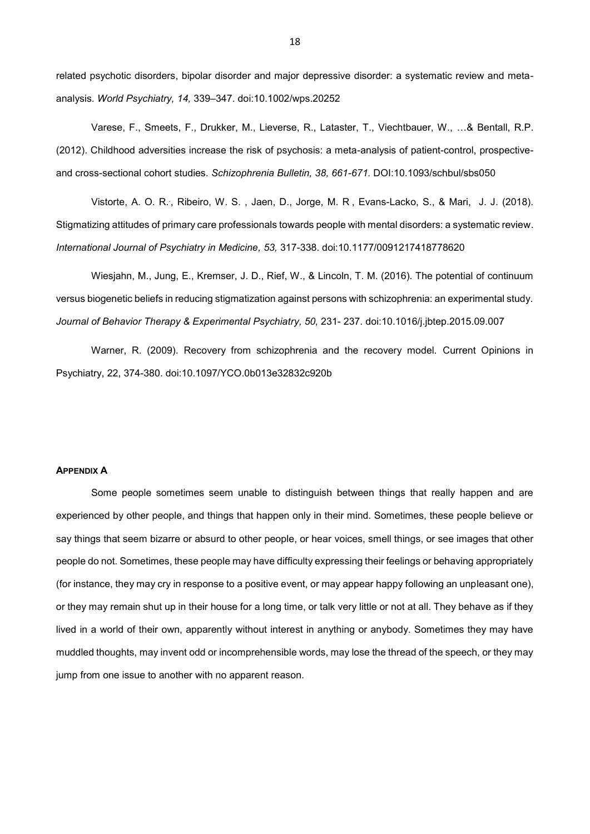related psychotic disorders, bipolar disorder and major depressive disorder: a systematic review and metaanalysis. *World Psychiatry, 14,* 339–347. doi:10.1002/wps.20252

Varese, F., Smeets, F., Drukker, M., Lieverse, R., Lataster, T., Viechtbauer, W., …& Bentall, R.P. (2012). Childhood adversities increase the risk of psychosis: a meta-analysis of patient-control, prospectiveand cross-sectional cohort studies. *Schizophrenia Bulletin, 38, 661-671.* DOI[:10.1093/schbul/sbs050](https://doi.org/10.1093/schbul/sbs050)

Vistorte, [A. O. R.](https://www.ncbi.nlm.nih.gov/pubmed/?term=Vistorte%20AOR%5BAuthor%5D&cauthor=true&cauthor_uid=29807502), [Ribeiro, W. S.](https://www.ncbi.nlm.nih.gov/pubmed/?term=Ribeiro%20WS%5BAuthor%5D&cauthor=true&cauthor_uid=29807502) , [Jaen, D.](https://www.ncbi.nlm.nih.gov/pubmed/?term=Jaen%20D%5BAuthor%5D&cauthor=true&cauthor_uid=29807502), [Jorge, M. R](https://www.ncbi.nlm.nih.gov/pubmed/?term=Jorge%20MR%5BAuthor%5D&cauthor=true&cauthor_uid=29807502) , [Evans-Lacko, S.](https://www.ncbi.nlm.nih.gov/pubmed/?term=Evans-Lacko%20S%5BAuthor%5D&cauthor=true&cauthor_uid=29807502), & Mari, J. J. (2018). Stigmatizing attitudes of primary care professionals towards people with mental disorders: a systematic review. *[International Journal of Psychiatry in Medicine,](https://www.ncbi.nlm.nih.gov/pubmed/?term=vistorte+2018+schizophrenia) 53,* 317-338. doi:10.1177/0091217418778620

Wiesjahn, M., Jung, E., Kremser, J. D., Rief, W., & Lincoln, T. M. (2016). The potential of continuum versus biogenetic beliefs in reducing stigmatization against persons with schizophrenia: an experimental study. *Journal of Behavior Therapy & Experimental Psychiatry, 50,* 231- 237. doi[:10.1016/j.jbtep.2015.09.007](http://dx.doi.org/10.1016/j.jbtep.2015.09.007)

[Warner, R.](https://www.ncbi.nlm.nih.gov/pubmed/?term=Warner%20R%5BAuthor%5D&cauthor=true&cauthor_uid=19417668) (2009). Recovery from schizophrenia and the recovery model. [Current Opinions in](https://www.ncbi.nlm.nih.gov/pubmed/19417668)  [Psychiatry, 2](https://www.ncbi.nlm.nih.gov/pubmed/19417668)2, 374-380. doi:10.1097/YCO.0b013e32832c920b

### **APPENDIX A**

Some people sometimes seem unable to distinguish between things that really happen and are experienced by other people, and things that happen only in their mind. Sometimes, these people believe or say things that seem bizarre or absurd to other people, or hear voices, smell things, or see images that other people do not. Sometimes, these people may have difficulty expressing their feelings or behaving appropriately (for instance, they may cry in response to a positive event, or may appear happy following an unpleasant one), or they may remain shut up in their house for a long time, or talk very little or not at all. They behave as if they lived in a world of their own, apparently without interest in anything or anybody. Sometimes they may have muddled thoughts, may invent odd or incomprehensible words, may lose the thread of the speech, or they may jump from one issue to another with no apparent reason.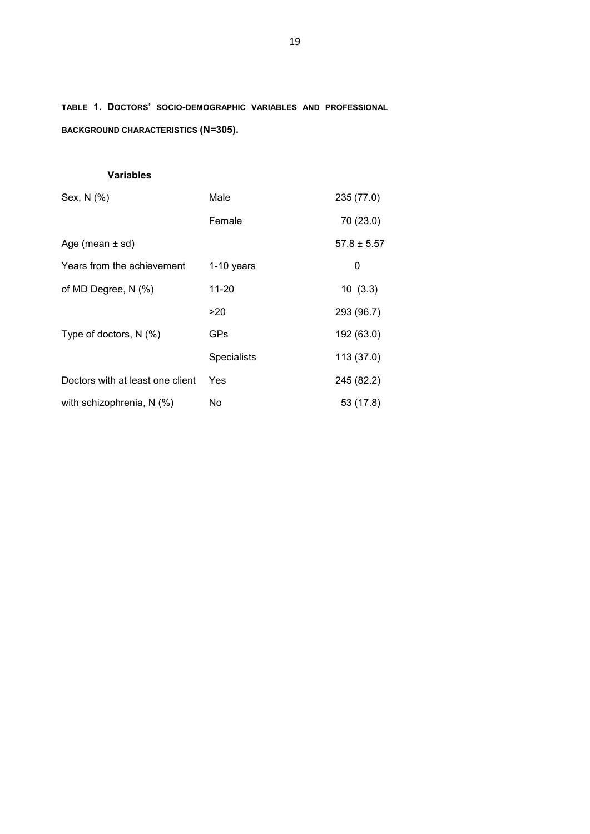**TABLE 1. DOCTORS' SOCIO-DEMOGRAPHIC VARIABLES AND PROFESSIONAL BACKGROUND CHARACTERISTICS (N=305).**

# **Variables**

| Sex, N (%)                       | Male               | 235 (77.0)      |
|----------------------------------|--------------------|-----------------|
|                                  | Female             | 70 (23.0)       |
| Age (mean ± sd)                  |                    | $57.8 \pm 5.57$ |
| Years from the achievement       | $1-10$ years       | 0               |
| of MD Degree, N (%)              | 11-20              | 10(3.3)         |
|                                  | >20                | 293 (96.7)      |
| Type of doctors, $N$ (%)         | GPs                | 192 (63.0)      |
|                                  | <b>Specialists</b> | 113 (37.0)      |
| Doctors with at least one client | Yes                | 245 (82.2)      |
| with schizophrenia, N (%)        | No                 | 53 (17.8)       |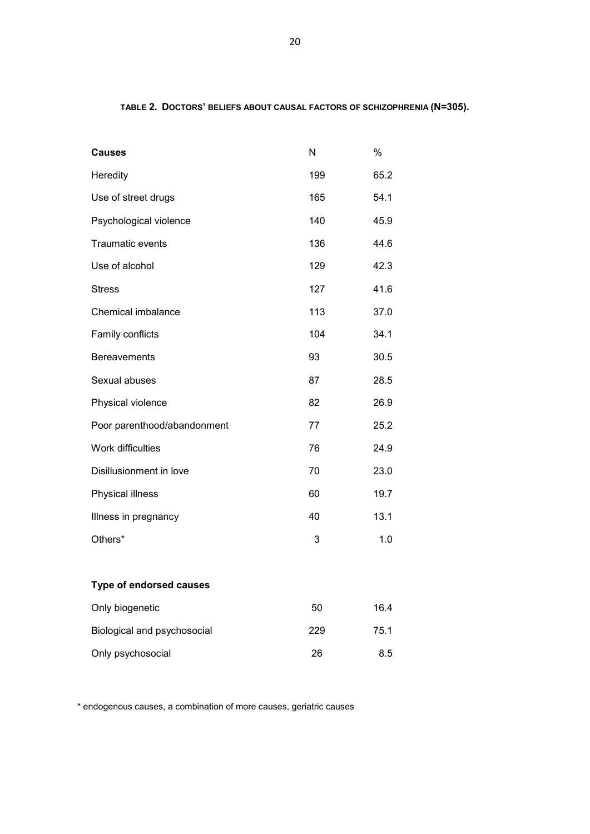## **TABLE 2. DOCTORS' BELIEFS ABOUT CAUSAL FACTORS OF SCHIZOPHRENIA (N=305).**

| Causes                         | N   | $\%$ |
|--------------------------------|-----|------|
| Heredity                       | 199 | 65.2 |
| Use of street drugs            | 165 | 54.1 |
| Psychological violence         | 140 | 45.9 |
| Traumatic events               | 136 | 44.6 |
| Use of alcohol                 | 129 | 42.3 |
| <b>Stress</b>                  | 127 | 41.6 |
| Chemical imbalance             | 113 | 37.0 |
| Family conflicts               | 104 | 34.1 |
| <b>Bereavements</b>            | 93  | 30.5 |
| Sexual abuses                  | 87  | 28.5 |
| Physical violence              | 82  | 26.9 |
| Poor parenthood/abandonment    | 77  | 25.2 |
| Work difficulties              | 76  | 24.9 |
| Disillusionment in love        | 70  | 23.0 |
| Physical illness               | 60  | 19.7 |
| Illness in pregnancy           | 40  | 13.1 |
| Others*                        | 3   | 1.0  |
| <b>Type of endorsed causes</b> |     |      |
| Only biogenetic                | 50  | 16.4 |
| Biological and psychosocial    | 229 | 75.1 |
| Only psychosocial              | 26  | 8.5  |

\* endogenous causes, a combination of more causes, geriatric causes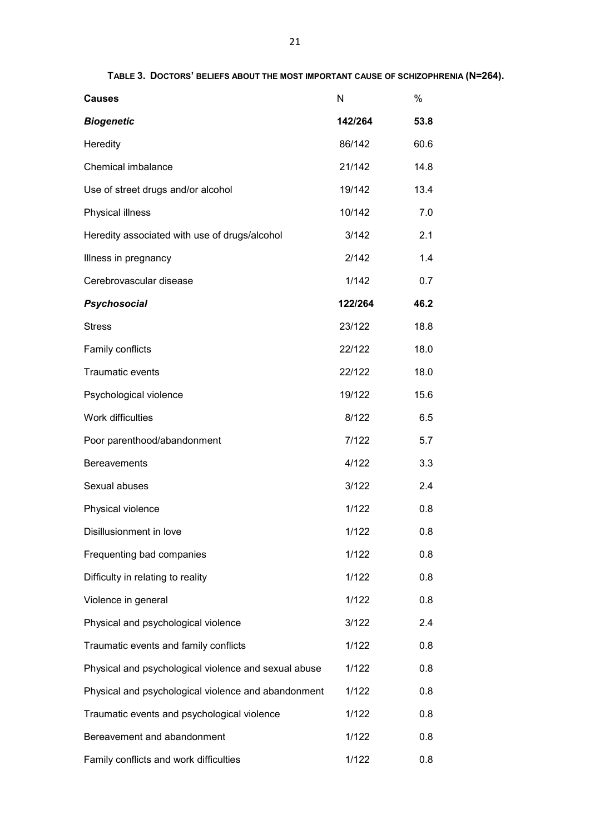| <b>Causes</b>                                        | N       | $\frac{0}{0}$ |
|------------------------------------------------------|---------|---------------|
| <b>Biogenetic</b>                                    | 142/264 | 53.8          |
| Heredity                                             | 86/142  | 60.6          |
| Chemical imbalance                                   | 21/142  | 14.8          |
| Use of street drugs and/or alcohol                   | 19/142  | 13.4          |
| Physical illness                                     | 10/142  | 7.0           |
| Heredity associated with use of drugs/alcohol        | 3/142   | 2.1           |
| Illness in pregnancy                                 | 2/142   | 1.4           |
| Cerebrovascular disease                              | 1/142   | 0.7           |
| <b>Psychosocial</b>                                  | 122/264 | 46.2          |
| <b>Stress</b>                                        | 23/122  | 18.8          |
| Family conflicts                                     | 22/122  | 18.0          |
| <b>Traumatic events</b>                              | 22/122  | 18.0          |
| Psychological violence                               | 19/122  | 15.6          |
| Work difficulties                                    | 8/122   | 6.5           |
| Poor parenthood/abandonment                          | 7/122   | 5.7           |
| <b>Bereavements</b>                                  | 4/122   | 3.3           |
| Sexual abuses                                        | 3/122   | 2.4           |
| Physical violence                                    | 1/122   | 0.8           |
| Disillusionment in love                              | 1/122   | 0.8           |
| Frequenting bad companies                            | 1/122   | 0.8           |
| Difficulty in relating to reality                    | 1/122   | 0.8           |
| Violence in general                                  | 1/122   | 0.8           |
| Physical and psychological violence                  | 3/122   | 2.4           |
| Traumatic events and family conflicts                | 1/122   | 0.8           |
| Physical and psychological violence and sexual abuse | 1/122   | 0.8           |
| Physical and psychological violence and abandonment  | 1/122   | 0.8           |
| Traumatic events and psychological violence          | 1/122   | 0.8           |
| Bereavement and abandonment                          | 1/122   | 0.8           |
| Family conflicts and work difficulties               | 1/122   | 0.8           |

**TABLE 3. DOCTORS' BELIEFS ABOUT THE MOST IMPORTANT CAUSE OF SCHIZOPHRENIA (N=264).**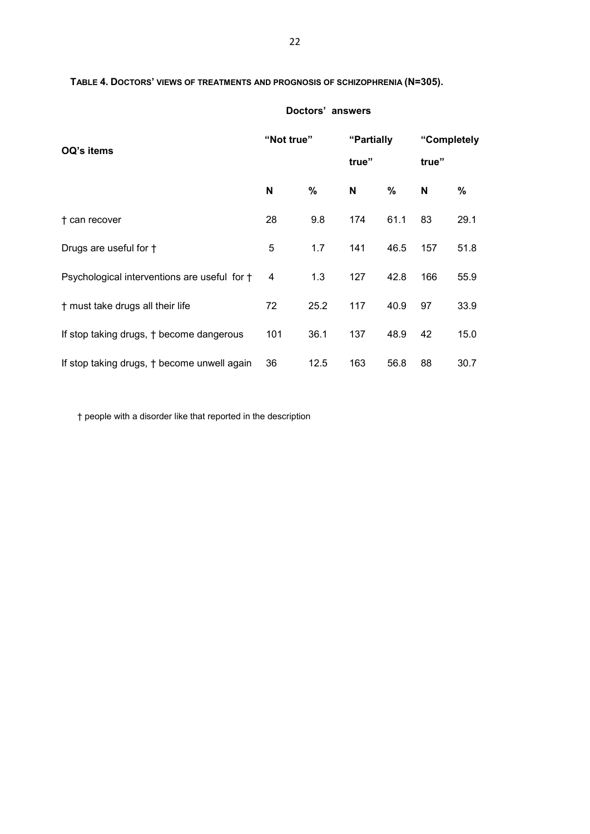## **TABLE 4. DOCTORS' VIEWS OF TREATMENTS AND PROGNOSIS OF SCHIZOPHRENIA (N=305).**

| OQ's items                                   | "Not true" |      | "Partially<br>true" |      | "Completely<br>true" |      |
|----------------------------------------------|------------|------|---------------------|------|----------------------|------|
|                                              | N          | %    | N                   | $\%$ | N                    | %    |
| † can recover                                | 28         | 9.8  | 174                 | 61.1 | 83                   | 29.1 |
| Drugs are useful for †                       | 5          | 1.7  | 141                 | 46.5 | 157                  | 51.8 |
| Psychological interventions are useful for † | 4          | 1.3  | 127                 | 42.8 | 166                  | 55.9 |
| † must take drugs all their life             | 72         | 25.2 | 117                 | 40.9 | 97                   | 33.9 |
| If stop taking drugs, † become dangerous     | 101        | 36.1 | 137                 | 48.9 | 42                   | 15.0 |
| If stop taking drugs, † become unwell again  | 36         | 12.5 | 163                 | 56.8 | 88                   | 30.7 |

**Doctors' answers**

† people with a disorder like that reported in the description